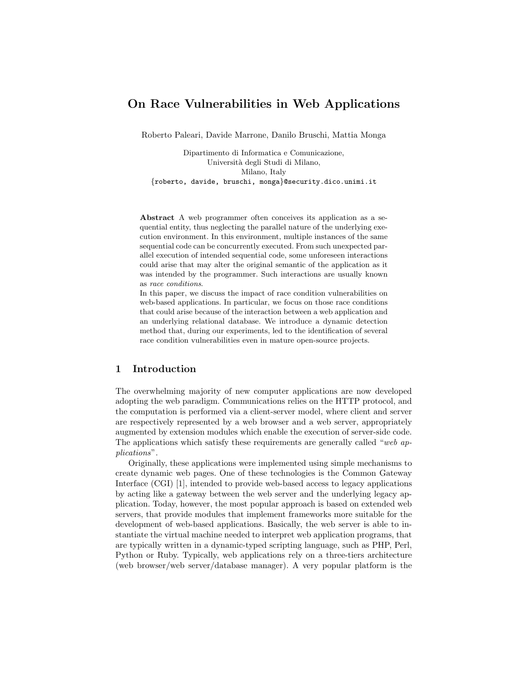# On Race Vulnerabilities in Web Applications

Roberto Paleari, Davide Marrone, Danilo Bruschi, Mattia Monga

Dipartimento di Informatica e Comunicazione, Università degli Studi di Milano, Milano, Italy {roberto, davide, bruschi, monga}@security.dico.unimi.it

Abstract A web programmer often conceives its application as a sequential entity, thus neglecting the parallel nature of the underlying execution environment. In this environment, multiple instances of the same sequential code can be concurrently executed. From such unexpected parallel execution of intended sequential code, some unforeseen interactions could arise that may alter the original semantic of the application as it was intended by the programmer. Such interactions are usually known as race conditions.

In this paper, we discuss the impact of race condition vulnerabilities on web-based applications. In particular, we focus on those race conditions that could arise because of the interaction between a web application and an underlying relational database. We introduce a dynamic detection method that, during our experiments, led to the identification of several race condition vulnerabilities even in mature open-source projects.

## 1 Introduction

The overwhelming majority of new computer applications are now developed adopting the web paradigm. Communications relies on the HTTP protocol, and the computation is performed via a client-server model, where client and server are respectively represented by a web browser and a web server, appropriately augmented by extension modules which enable the execution of server-side code. The applications which satisfy these requirements are generally called "web applications".

Originally, these applications were implemented using simple mechanisms to create dynamic web pages. One of these technologies is the Common Gateway Interface (CGI) [1], intended to provide web-based access to legacy applications by acting like a gateway between the web server and the underlying legacy application. Today, however, the most popular approach is based on extended web servers, that provide modules that implement frameworks more suitable for the development of web-based applications. Basically, the web server is able to instantiate the virtual machine needed to interpret web application programs, that are typically written in a dynamic-typed scripting language, such as PHP, Perl, Python or Ruby. Typically, web applications rely on a three-tiers architecture (web browser/web server/database manager). A very popular platform is the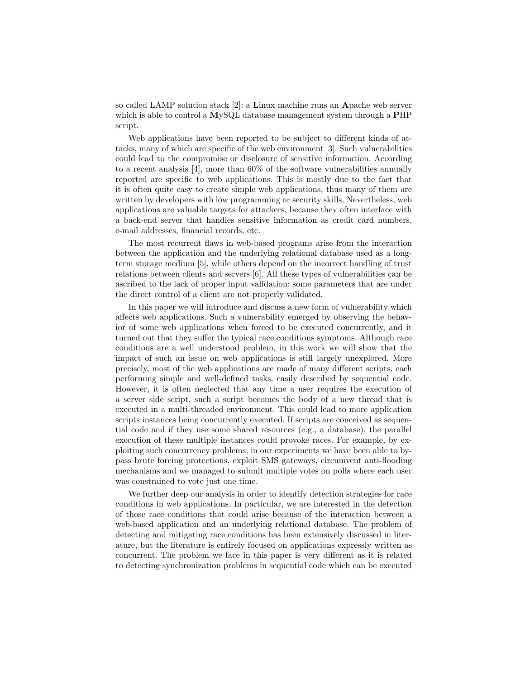so called LAMP solution stack [2]: a Linux machine runs an Apache web server which is able to control a MySQL database management system through a PHP script.

Web applications have been reported to be subject to different kinds of attacks, many of which are specific of the web environment [3]. Such vulnerabilities could lead to the compromise or disclosure of sensitive information. According to a recent analysis [4], more than 60% of the software vulnerabilities annually reported are specific to web applications. This is mostly due to the fact that it is often quite easy to create simple web applications, thus many of them are written by developers with low programming or security skills. Nevertheless, web applications are valuable targets for attackers, because they often interface with a back-end server that handles sensitive information as credit card numbers, e-mail addresses, financial records, etc.

The most recurrent flaws in web-based programs arise from the interaction between the application and the underlying relational database used as a longterm storage medium [5], while others depend on the incorrect handling of trust relations between clients and servers [6]. All these types of vulnerabilities can be ascribed to the lack of proper input validation: some parameters that are under the direct control of a client are not properly validated.

In this paper we will introduce and discuss a new form of vulnerability which affects web applications. Such a vulnerability emerged by observing the behavior of some web applications when forced to be executed concurrently, and it turned out that they suffer the typical race conditions symptoms. Although race conditions are a well understood problem, in this work we will show that the impact of such an issue on web applications is still largely unexplored. More precisely, most of the web applications are made of many different scripts, each performing simple and well-defined tasks, easily described by sequential code. However, it is often neglected that any time a user requires the execution of a server side script, such a script becomes the body of a new thread that is executed in a multi-threaded environment. This could lead to more application scripts instances being concurrently executed. If scripts are conceived as sequential code and if they use some shared resources (e.g., a database), the parallel execution of these multiple instances could provoke races. For example, by exploiting such concurrency problems, in our experiments we have been able to bypass brute forcing protections, exploit SMS gateways, circumvent anti-flooding mechanisms and we managed to submit multiple votes on polls where each user was constrained to vote just one time.

We further deep our analysis in order to identify detection strategies for race conditions in web applications. In particular, we are interested in the detection of those race conditions that could arise because of the interaction between a web-based application and an underlying relational database. The problem of detecting and mitigating race conditions has been extensively discussed in literature, but the literature is entirely focused on applications expressly written as concurrent. The problem we face in this paper is very different as it is related to detecting synchronization problems in sequential code which can be executed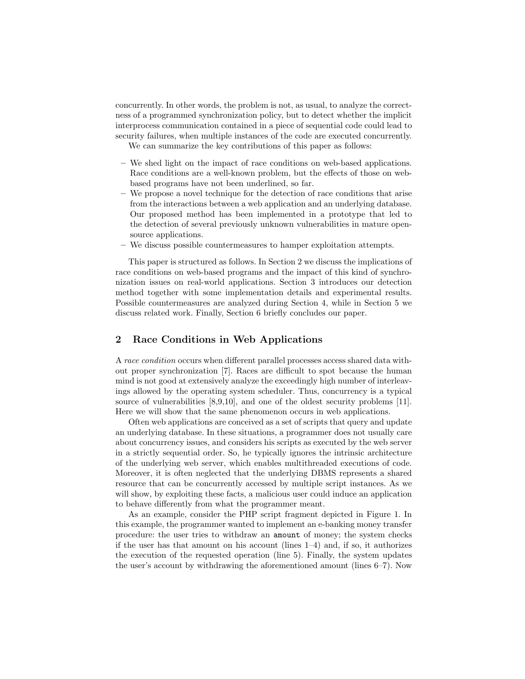concurrently. In other words, the problem is not, as usual, to analyze the correctness of a programmed synchronization policy, but to detect whether the implicit interprocess communication contained in a piece of sequential code could lead to security failures, when multiple instances of the code are executed concurrently.

We can summarize the key contributions of this paper as follows:

- We shed light on the impact of race conditions on web-based applications. Race conditions are a well-known problem, but the effects of those on webbased programs have not been underlined, so far.
- We propose a novel technique for the detection of race conditions that arise from the interactions between a web application and an underlying database. Our proposed method has been implemented in a prototype that led to the detection of several previously unknown vulnerabilities in mature opensource applications.
- We discuss possible countermeasures to hamper exploitation attempts.

This paper is structured as follows. In Section 2 we discuss the implications of race conditions on web-based programs and the impact of this kind of synchronization issues on real-world applications. Section 3 introduces our detection method together with some implementation details and experimental results. Possible countermeasures are analyzed during Section 4, while in Section 5 we discuss related work. Finally, Section 6 briefly concludes our paper.

# 2 Race Conditions in Web Applications

A race condition occurs when different parallel processes access shared data without proper synchronization [7]. Races are difficult to spot because the human mind is not good at extensively analyze the exceedingly high number of interleavings allowed by the operating system scheduler. Thus, concurrency is a typical source of vulnerabilities [8,9,10], and one of the oldest security problems [11]. Here we will show that the same phenomenon occurs in web applications.

Often web applications are conceived as a set of scripts that query and update an underlying database. In these situations, a programmer does not usually care about concurrency issues, and considers his scripts as executed by the web server in a strictly sequential order. So, he typically ignores the intrinsic architecture of the underlying web server, which enables multithreaded executions of code. Moreover, it is often neglected that the underlying DBMS represents a shared resource that can be concurrently accessed by multiple script instances. As we will show, by exploiting these facts, a malicious user could induce an application to behave differently from what the programmer meant.

As an example, consider the PHP script fragment depicted in Figure 1. In this example, the programmer wanted to implement an e-banking money transfer procedure: the user tries to withdraw an amount of money; the system checks if the user has that amount on his account (lines  $1-4$ ) and, if so, it authorizes the execution of the requested operation (line 5). Finally, the system updates the user's account by withdrawing the aforementioned amount (lines 6–7). Now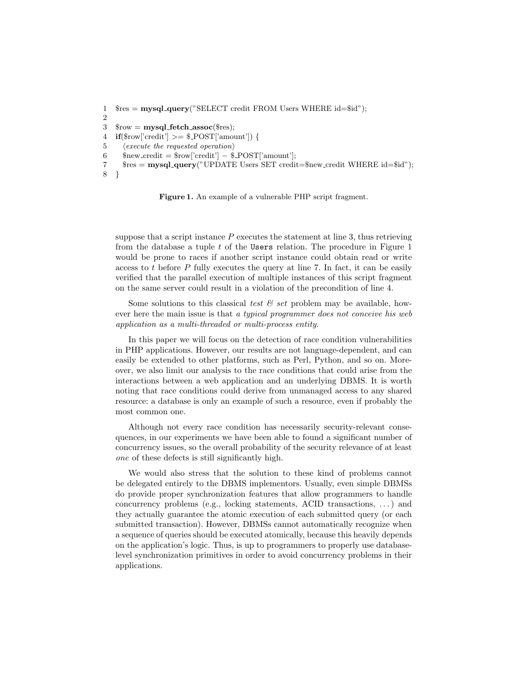- 1  $\text{Sres} = \text{mysqLquery}$  ("SELECT credit FROM Users WHERE id=\$id");
- 2
- $3$   $$row = mysql_fetch_assoc($res);$
- 4 if( $\text{from}$ 'credit']  $>= \$$ POST['amount']) {
- 5 (execute the requested operation)
- 6  $\text{Snew\_credit} = \text{Srow}[\text{'credit'}] \text{S_POST}[\text{'amount'}];$
- 7 \$res = mysql query("UPDATE Users SET credit=\$new credit WHERE id=\$id");
- 8 }

Figure 1. An example of a vulnerable PHP script fragment.

suppose that a script instance  $P$  executes the statement at line 3, thus retrieving from the database a tuple  $t$  of the Users relation. The procedure in Figure 1 would be prone to races if another script instance could obtain read or write access to  $t$  before  $P$  fully executes the query at line  $7$ . In fact, it can be easily verified that the parallel execution of multiple instances of this script fragment on the same server could result in a violation of the precondition of line 4.

Some solutions to this classical test  $\mathcal{C}$  set problem may be available, however here the main issue is that a typical programmer does not conceive his web application as a multi-threaded or multi-process entity.

In this paper we will focus on the detection of race condition vulnerabilities in PHP applications. However, our results are not language-dependent, and can easily be extended to other platforms, such as Perl, Python, and so on. Moreover, we also limit our analysis to the race conditions that could arise from the interactions between a web application and an underlying DBMS. It is worth noting that race conditions could derive from unmanaged access to any shared resource: a database is only an example of such a resource, even if probably the most common one.

Although not every race condition has necessarily security-relevant consequences, in our experiments we have been able to found a significant number of concurrency issues, so the overall probability of the security relevance of at least one of these defects is still significantly high.

We would also stress that the solution to these kind of problems cannot be delegated entirely to the DBMS implementors. Usually, even simple DBMSs do provide proper synchronization features that allow programmers to handle concurrency problems (e.g., locking statements, ACID transactions, . . . ) and they actually guarantee the atomic execution of each submitted query (or each submitted transaction). However, DBMSs cannot automatically recognize when a sequence of queries should be executed atomically, because this heavily depends on the application's logic. Thus, is up to programmers to properly use databaselevel synchronization primitives in order to avoid concurrency problems in their applications.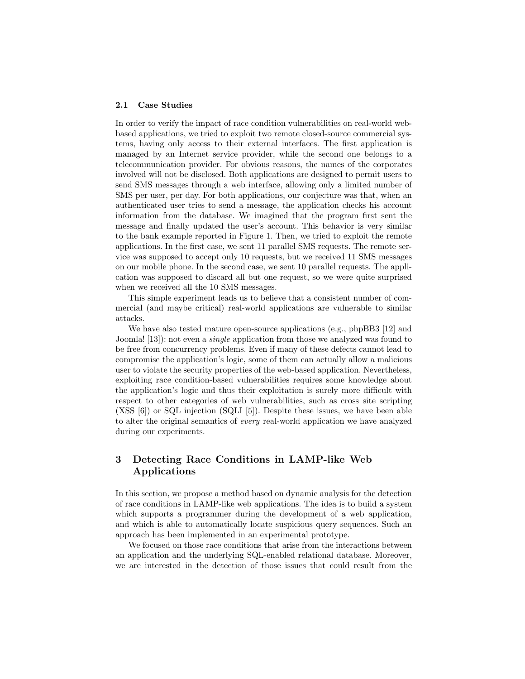## 2.1 Case Studies

In order to verify the impact of race condition vulnerabilities on real-world webbased applications, we tried to exploit two remote closed-source commercial systems, having only access to their external interfaces. The first application is managed by an Internet service provider, while the second one belongs to a telecommunication provider. For obvious reasons, the names of the corporates involved will not be disclosed. Both applications are designed to permit users to send SMS messages through a web interface, allowing only a limited number of SMS per user, per day. For both applications, our conjecture was that, when an authenticated user tries to send a message, the application checks his account information from the database. We imagined that the program first sent the message and finally updated the user's account. This behavior is very similar to the bank example reported in Figure 1. Then, we tried to exploit the remote applications. In the first case, we sent 11 parallel SMS requests. The remote service was supposed to accept only 10 requests, but we received 11 SMS messages on our mobile phone. In the second case, we sent 10 parallel requests. The application was supposed to discard all but one request, so we were quite surprised when we received all the 10 SMS messages.

This simple experiment leads us to believe that a consistent number of commercial (and maybe critical) real-world applications are vulnerable to similar attacks.

We have also tested mature open-source applications (e.g., phpBB3 [12] and Joomla! [13]): not even a single application from those we analyzed was found to be free from concurrency problems. Even if many of these defects cannot lead to compromise the application's logic, some of them can actually allow a malicious user to violate the security properties of the web-based application. Nevertheless, exploiting race condition-based vulnerabilities requires some knowledge about the application's logic and thus their exploitation is surely more difficult with respect to other categories of web vulnerabilities, such as cross site scripting (XSS [6]) or SQL injection (SQLI [5]). Despite these issues, we have been able to alter the original semantics of every real-world application we have analyzed during our experiments.

# 3 Detecting Race Conditions in LAMP-like Web Applications

In this section, we propose a method based on dynamic analysis for the detection of race conditions in LAMP-like web applications. The idea is to build a system which supports a programmer during the development of a web application, and which is able to automatically locate suspicious query sequences. Such an approach has been implemented in an experimental prototype.

We focused on those race conditions that arise from the interactions between an application and the underlying SQL-enabled relational database. Moreover, we are interested in the detection of those issues that could result from the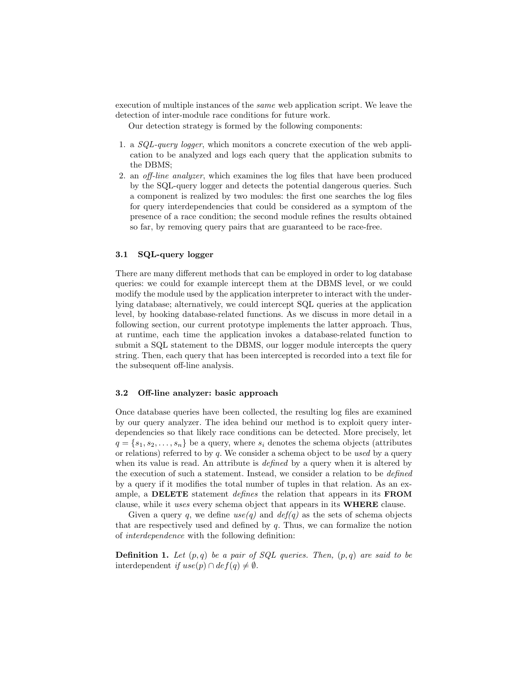execution of multiple instances of the same web application script. We leave the detection of inter-module race conditions for future work.

Our detection strategy is formed by the following components:

- 1. a SQL-query logger, which monitors a concrete execution of the web application to be analyzed and logs each query that the application submits to the DBMS;
- 2. an off-line analyzer, which examines the log files that have been produced by the SQL-query logger and detects the potential dangerous queries. Such a component is realized by two modules: the first one searches the log files for query interdependencies that could be considered as a symptom of the presence of a race condition; the second module refines the results obtained so far, by removing query pairs that are guaranteed to be race-free.

### 3.1 SQL-query logger

There are many different methods that can be employed in order to log database queries: we could for example intercept them at the DBMS level, or we could modify the module used by the application interpreter to interact with the underlying database; alternatively, we could intercept SQL queries at the application level, by hooking database-related functions. As we discuss in more detail in a following section, our current prototype implements the latter approach. Thus, at runtime, each time the application invokes a database-related function to submit a SQL statement to the DBMS, our logger module intercepts the query string. Then, each query that has been intercepted is recorded into a text file for the subsequent off-line analysis.

#### 3.2 Off-line analyzer: basic approach

Once database queries have been collected, the resulting log files are examined by our query analyzer. The idea behind our method is to exploit query interdependencies so that likely race conditions can be detected. More precisely, let  $q = \{s_1, s_2, \ldots, s_n\}$  be a query, where  $s_i$  denotes the schema objects (attributes or relations) referred to by  $q$ . We consider a schema object to be used by a query when its value is read. An attribute is *defined* by a query when it is altered by the execution of such a statement. Instead, we consider a relation to be defined by a query if it modifies the total number of tuples in that relation. As an example, a DELETE statement defines the relation that appears in its FROM clause, while it uses every schema object that appears in its WHERE clause.

Given a query q, we define  $use(q)$  and  $def(q)$  as the sets of schema objects that are respectively used and defined by q. Thus, we can formalize the notion of interdependence with the following definition:

**Definition 1.** Let  $(p,q)$  be a pair of SQL queries. Then,  $(p,q)$  are said to be interdependent if  $use(p) \cap def(q) \neq \emptyset$ .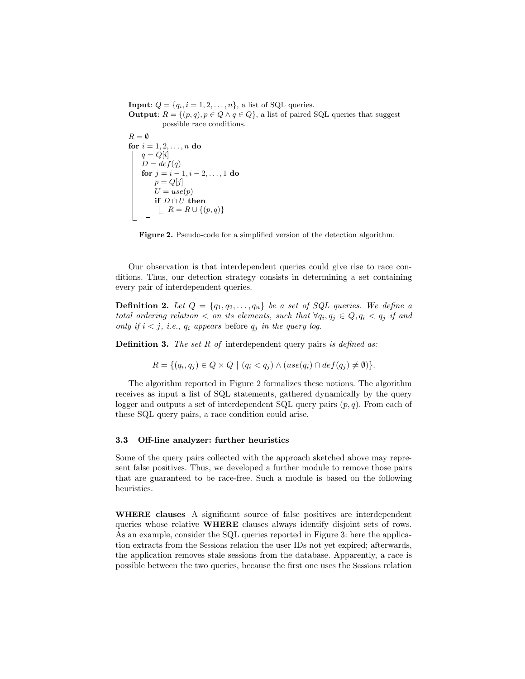**Input:**  $Q = \{q_i, i = 1, 2, \ldots, n\}$ , a list of SQL queries. **Output**:  $R = \{(p, q), p \in Q \land q \in Q\}$ , a list of paired SQL queries that suggest possible race conditions.  $R = \emptyset$ for  $i = 1, 2, ..., n$  do  $q = Q[i]$  $D = def(q)$ for  $j = i - 1, i - 2, \ldots, 1$  do  $p = Q[j]$  $U = use(p)$ if  $D\cap U$  then  $R = R \cup \{(p,q)\}\$ 

Figure 2. Pseudo-code for a simplified version of the detection algorithm.

Our observation is that interdependent queries could give rise to race conditions. Thus, our detection strategy consists in determining a set containing every pair of interdependent queries.

**Definition 2.** Let  $Q = \{q_1, q_2, \ldots, q_n\}$  be a set of SQL queries. We define a total ordering relation  $\langle$  on its elements, such that  $\forall q_i, q_j \in Q, q_i \langle q_j \rangle$  if and only if  $i < j$ , i.e.,  $q_i$  appears before  $q_i$  in the query log.

**Definition 3.** The set  $R$  of interdependent query pairs is defined as:

 $R = \{ (q_i, q_j) \in Q \times Q \mid (q_i < q_j) \wedge (use(q_i) \cap def(q_j) \neq \emptyset) \}.$ 

The algorithm reported in Figure 2 formalizes these notions. The algorithm receives as input a list of SQL statements, gathered dynamically by the query logger and outputs a set of interdependent SQL query pairs  $(p, q)$ . From each of these SQL query pairs, a race condition could arise.

#### 3.3 Off-line analyzer: further heuristics

Some of the query pairs collected with the approach sketched above may represent false positives. Thus, we developed a further module to remove those pairs that are guaranteed to be race-free. Such a module is based on the following heuristics.

WHERE clauses A significant source of false positives are interdependent queries whose relative WHERE clauses always identify disjoint sets of rows. As an example, consider the SQL queries reported in Figure 3: here the application extracts from the Sessions relation the user IDs not yet expired; afterwards, the application removes stale sessions from the database. Apparently, a race is possible between the two queries, because the first one uses the Sessions relation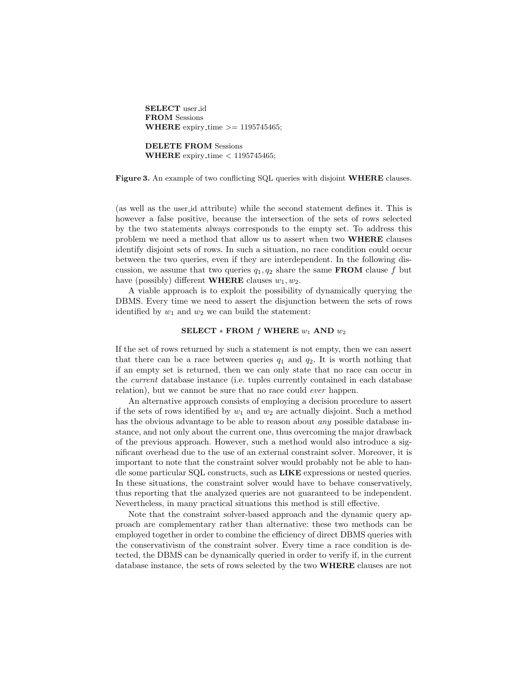SELECT user id FROM Sessions WHERE expiry\_time  $\ge$  = 1195745465;

DELETE FROM Sessions **WHERE** expiry\_time  $<$  1195745465;

Figure 3. An example of two conflicting SQL queries with disjoint WHERE clauses.

(as well as the user id attribute) while the second statement defines it. This is however a false positive, because the intersection of the sets of rows selected by the two statements always corresponds to the empty set. To address this problem we need a method that allow us to assert when two WHERE clauses identify disjoint sets of rows. In such a situation, no race condition could occur between the two queries, even if they are interdependent. In the following discussion, we assume that two queries  $q_1, q_2$  share the same **FROM** clause f but have (possibly) different **WHERE** clauses  $w_1, w_2$ .

A viable approach is to exploit the possibility of dynamically querying the DBMS. Every time we need to assert the disjunction between the sets of rows identified by  $w_1$  and  $w_2$  we can build the statement:

#### SELECT  $*$  FROM  $f$  WHERE  $w_1$  AND  $w_2$

If the set of rows returned by such a statement is not empty, then we can assert that there can be a race between queries  $q_1$  and  $q_2$ . It is worth nothing that if an empty set is returned, then we can only state that no race can occur in the current database instance (i.e. tuples currently contained in each database relation), but we cannot be sure that no race could ever happen.

An alternative approach consists of employing a decision procedure to assert if the sets of rows identified by  $w_1$  and  $w_2$  are actually disjoint. Such a method has the obvious advantage to be able to reason about any possible database instance, and not only about the current one, thus overcoming the major drawback of the previous approach. However, such a method would also introduce a significant overhead due to the use of an external constraint solver. Moreover, it is important to note that the constraint solver would probably not be able to handle some particular SQL constructs, such as LIKE expressions or nested queries. In these situations, the constraint solver would have to behave conservatively, thus reporting that the analyzed queries are not guaranteed to be independent. Nevertheless, in many practical situations this method is still effective.

Note that the constraint solver-based approach and the dynamic query approach are complementary rather than alternative: these two methods can be employed together in order to combine the efficiency of direct DBMS queries with the conservativism of the constraint solver. Every time a race condition is detected, the DBMS can be dynamically queried in order to verify if, in the current database instance, the sets of rows selected by the two WHERE clauses are not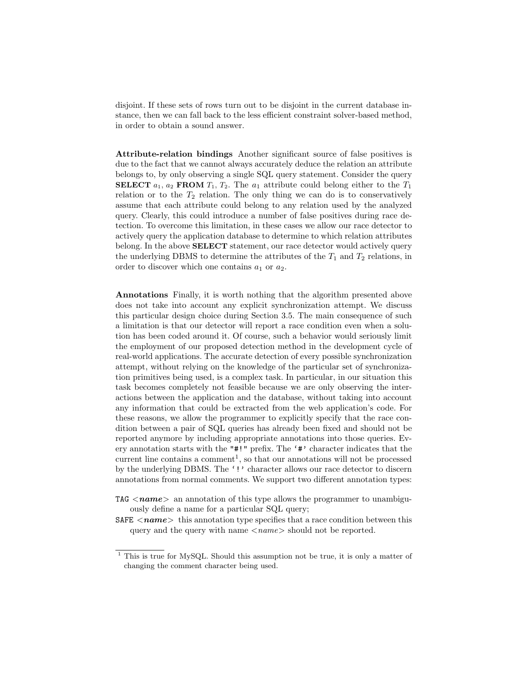disjoint. If these sets of rows turn out to be disjoint in the current database instance, then we can fall back to the less efficient constraint solver-based method, in order to obtain a sound answer.

Attribute-relation bindings Another significant source of false positives is due to the fact that we cannot always accurately deduce the relation an attribute belongs to, by only observing a single SQL query statement. Consider the query SELECT  $a_1$ ,  $a_2$  FROM  $T_1$ ,  $T_2$ . The  $a_1$  attribute could belong either to the  $T_1$ relation or to the  $T_2$  relation. The only thing we can do is to conservatively assume that each attribute could belong to any relation used by the analyzed query. Clearly, this could introduce a number of false positives during race detection. To overcome this limitation, in these cases we allow our race detector to actively query the application database to determine to which relation attributes belong. In the above SELECT statement, our race detector would actively query the underlying DBMS to determine the attributes of the  $T_1$  and  $T_2$  relations, in order to discover which one contains  $a_1$  or  $a_2$ .

Annotations Finally, it is worth nothing that the algorithm presented above does not take into account any explicit synchronization attempt. We discuss this particular design choice during Section 3.5. The main consequence of such a limitation is that our detector will report a race condition even when a solution has been coded around it. Of course, such a behavior would seriously limit the employment of our proposed detection method in the development cycle of real-world applications. The accurate detection of every possible synchronization attempt, without relying on the knowledge of the particular set of synchronization primitives being used, is a complex task. In particular, in our situation this task becomes completely not feasible because we are only observing the interactions between the application and the database, without taking into account any information that could be extracted from the web application's code. For these reasons, we allow the programmer to explicitly specify that the race condition between a pair of SQL queries has already been fixed and should not be reported anymore by including appropriate annotations into those queries. Every annotation starts with the "#!" prefix. The '#' character indicates that the current line contains a comment<sup>1</sup>, so that our annotations will not be processed by the underlying DBMS. The '!' character allows our race detector to discern annotations from normal comments. We support two different annotation types:

- TAG  $\langle name \rangle$  an annotation of this type allows the programmer to unambiguously define a name for a particular SQL query;
- $S$ AFE  $\langle name \rangle$  this annotation type specifies that a race condition between this query and the query with name  $\langle name \rangle$  should not be reported.

<sup>&</sup>lt;sup>1</sup> This is true for MySQL. Should this assumption not be true, it is only a matter of changing the comment character being used.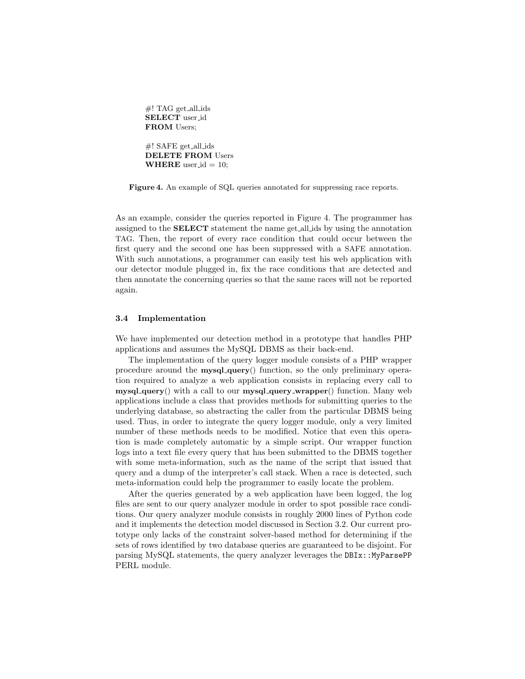#! TAG get all ids SELECT user\_id FROM Users:

 $#!$  SAFE get\_all\_ids DELETE FROM Users **WHERE** user<sub>id</sub> = 10;

Figure 4. An example of SQL queries annotated for suppressing race reports.

As an example, consider the queries reported in Figure 4. The programmer has assigned to the SELECT statement the name get all ids by using the annotation TAG. Then, the report of every race condition that could occur between the first query and the second one has been suppressed with a SAFE annotation. With such annotations, a programmer can easily test his web application with our detector module plugged in, fix the race conditions that are detected and then annotate the concerning queries so that the same races will not be reported again.

#### 3.4 Implementation

We have implemented our detection method in a prototype that handles PHP applications and assumes the MySQL DBMS as their back-end.

The implementation of the query logger module consists of a PHP wrapper procedure around the mysql query() function, so the only preliminary operation required to analyze a web application consists in replacing every call to mysql\_query() with a call to our mysql\_query\_wrapper() function. Many web applications include a class that provides methods for submitting queries to the underlying database, so abstracting the caller from the particular DBMS being used. Thus, in order to integrate the query logger module, only a very limited number of these methods needs to be modified. Notice that even this operation is made completely automatic by a simple script. Our wrapper function logs into a text file every query that has been submitted to the DBMS together with some meta-information, such as the name of the script that issued that query and a dump of the interpreter's call stack. When a race is detected, such meta-information could help the programmer to easily locate the problem.

After the queries generated by a web application have been logged, the log files are sent to our query analyzer module in order to spot possible race conditions. Our query analyzer module consists in roughly 2000 lines of Python code and it implements the detection model discussed in Section 3.2. Our current prototype only lacks of the constraint solver-based method for determining if the sets of rows identified by two database queries are guaranteed to be disjoint. For parsing MySQL statements, the query analyzer leverages the DBIx::MyParsePP PERL module.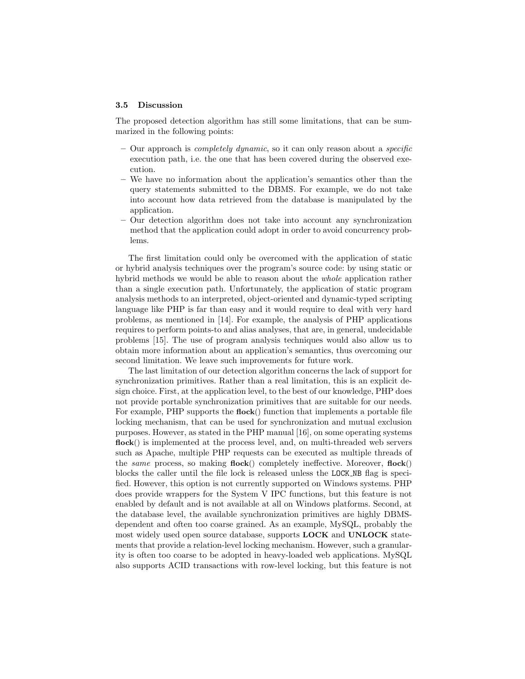#### 3.5 Discussion

The proposed detection algorithm has still some limitations, that can be summarized in the following points:

- Our approach is *completely dynamic*, so it can only reason about a *specific* execution path, i.e. the one that has been covered during the observed execution.
- We have no information about the application's semantics other than the query statements submitted to the DBMS. For example, we do not take into account how data retrieved from the database is manipulated by the application.
- Our detection algorithm does not take into account any synchronization method that the application could adopt in order to avoid concurrency problems.

The first limitation could only be overcomed with the application of static or hybrid analysis techniques over the program's source code: by using static or hybrid methods we would be able to reason about the whole application rather than a single execution path. Unfortunately, the application of static program analysis methods to an interpreted, object-oriented and dynamic-typed scripting language like PHP is far than easy and it would require to deal with very hard problems, as mentioned in [14]. For example, the analysis of PHP applications requires to perform points-to and alias analyses, that are, in general, undecidable problems [15]. The use of program analysis techniques would also allow us to obtain more information about an application's semantics, thus overcoming our second limitation. We leave such improvements for future work.

The last limitation of our detection algorithm concerns the lack of support for synchronization primitives. Rather than a real limitation, this is an explicit design choice. First, at the application level, to the best of our knowledge, PHP does not provide portable synchronization primitives that are suitable for our needs. For example, PHP supports the **flock**() function that implements a portable file locking mechanism, that can be used for synchronization and mutual exclusion purposes. However, as stated in the PHP manual [16], on some operating systems flock() is implemented at the process level, and, on multi-threaded web servers such as Apache, multiple PHP requests can be executed as multiple threads of the *same* process, so making  $flock()$  completely ineffective. Moreover,  $flock()$ blocks the caller until the file lock is released unless the LOCK NB flag is specified. However, this option is not currently supported on Windows systems. PHP does provide wrappers for the System V IPC functions, but this feature is not enabled by default and is not available at all on Windows platforms. Second, at the database level, the available synchronization primitives are highly DBMSdependent and often too coarse grained. As an example, MySQL, probably the most widely used open source database, supports LOCK and UNLOCK statements that provide a relation-level locking mechanism. However, such a granularity is often too coarse to be adopted in heavy-loaded web applications. MySQL also supports ACID transactions with row-level locking, but this feature is not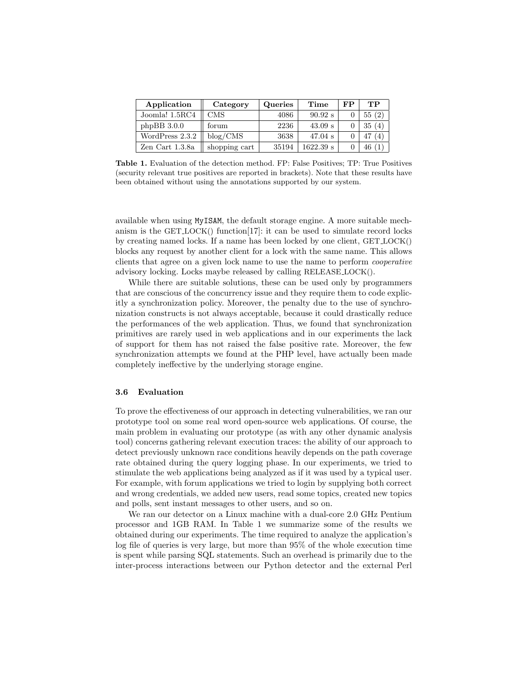| Application     | Category      | Queries | Time      | FP | TР    |
|-----------------|---------------|---------|-----------|----|-------|
| Joomla! 1.5RC4  | CMS           | 4086    | $90.92$ s |    | 55(2) |
| phpBB3.0.0      | forum         | 2236    | 43.09 s   |    | 35(4) |
| WordPress 2.3.2 | blog/CMS      | 3638    | $47.04$ s |    | (4)   |
| Zen Cart 1.3.8a | shopping cart | 35194   | 1622.39 s |    |       |

Table 1. Evaluation of the detection method. FP: False Positives; TP: True Positives (security relevant true positives are reported in brackets). Note that these results have been obtained without using the annotations supported by our system.

available when using MyISAM, the default storage engine. A more suitable mechanism is the GET LOCK() function[17]: it can be used to simulate record locks by creating named locks. If a name has been locked by one client, GET LOCK() blocks any request by another client for a lock with the same name. This allows clients that agree on a given lock name to use the name to perform cooperative advisory locking. Locks maybe released by calling RELEASE LOCK().

While there are suitable solutions, these can be used only by programmers that are conscious of the concurrency issue and they require them to code explicitly a synchronization policy. Moreover, the penalty due to the use of synchronization constructs is not always acceptable, because it could drastically reduce the performances of the web application. Thus, we found that synchronization primitives are rarely used in web applications and in our experiments the lack of support for them has not raised the false positive rate. Moreover, the few synchronization attempts we found at the PHP level, have actually been made completely ineffective by the underlying storage engine.

#### 3.6 Evaluation

To prove the effectiveness of our approach in detecting vulnerabilities, we ran our prototype tool on some real word open-source web applications. Of course, the main problem in evaluating our prototype (as with any other dynamic analysis tool) concerns gathering relevant execution traces: the ability of our approach to detect previously unknown race conditions heavily depends on the path coverage rate obtained during the query logging phase. In our experiments, we tried to stimulate the web applications being analyzed as if it was used by a typical user. For example, with forum applications we tried to login by supplying both correct and wrong credentials, we added new users, read some topics, created new topics and polls, sent instant messages to other users, and so on.

We ran our detector on a Linux machine with a dual-core 2.0 GHz Pentium processor and 1GB RAM. In Table 1 we summarize some of the results we obtained during our experiments. The time required to analyze the application's log file of queries is very large, but more than 95% of the whole execution time is spent while parsing SQL statements. Such an overhead is primarily due to the inter-process interactions between our Python detector and the external Perl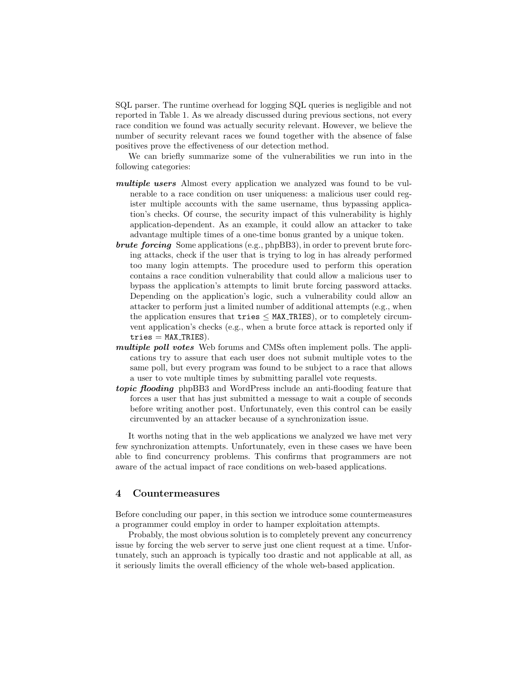SQL parser. The runtime overhead for logging SQL queries is negligible and not reported in Table 1. As we already discussed during previous sections, not every race condition we found was actually security relevant. However, we believe the number of security relevant races we found together with the absence of false positives prove the effectiveness of our detection method.

We can briefly summarize some of the vulnerabilities we run into in the following categories:

- multiple users Almost every application we analyzed was found to be vulnerable to a race condition on user uniqueness: a malicious user could register multiple accounts with the same username, thus bypassing application's checks. Of course, the security impact of this vulnerability is highly application-dependent. As an example, it could allow an attacker to take advantage multiple times of a one-time bonus granted by a unique token.
- brute forcing Some applications (e.g., phpBB3), in order to prevent brute forcing attacks, check if the user that is trying to log in has already performed too many login attempts. The procedure used to perform this operation contains a race condition vulnerability that could allow a malicious user to bypass the application's attempts to limit brute forcing password attacks. Depending on the application's logic, such a vulnerability could allow an attacker to perform just a limited number of additional attempts (e.g., when the application ensures that  $tries <$  MAX\_TRIES), or to completely circumvent application's checks (e.g., when a brute force attack is reported only if  $tries = MAX\_TRIES$ ).
- multiple poll votes Web forums and CMSs often implement polls. The applications try to assure that each user does not submit multiple votes to the same poll, but every program was found to be subject to a race that allows a user to vote multiple times by submitting parallel vote requests.
- topic flooding phpBB3 and WordPress include an anti-flooding feature that forces a user that has just submitted a message to wait a couple of seconds before writing another post. Unfortunately, even this control can be easily circumvented by an attacker because of a synchronization issue.

It worths noting that in the web applications we analyzed we have met very few synchronization attempts. Unfortunately, even in these cases we have been able to find concurrency problems. This confirms that programmers are not aware of the actual impact of race conditions on web-based applications.

## 4 Countermeasures

Before concluding our paper, in this section we introduce some countermeasures a programmer could employ in order to hamper exploitation attempts.

Probably, the most obvious solution is to completely prevent any concurrency issue by forcing the web server to serve just one client request at a time. Unfortunately, such an approach is typically too drastic and not applicable at all, as it seriously limits the overall efficiency of the whole web-based application.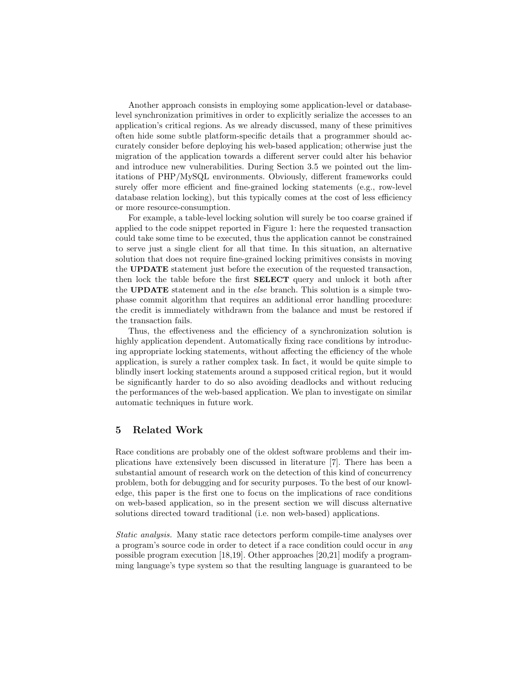Another approach consists in employing some application-level or databaselevel synchronization primitives in order to explicitly serialize the accesses to an application's critical regions. As we already discussed, many of these primitives often hide some subtle platform-specific details that a programmer should accurately consider before deploying his web-based application; otherwise just the migration of the application towards a different server could alter his behavior and introduce new vulnerabilities. During Section 3.5 we pointed out the limitations of PHP/MySQL environments. Obviously, different frameworks could surely offer more efficient and fine-grained locking statements (e.g., row-level database relation locking), but this typically comes at the cost of less efficiency or more resource-consumption.

For example, a table-level locking solution will surely be too coarse grained if applied to the code snippet reported in Figure 1: here the requested transaction could take some time to be executed, thus the application cannot be constrained to serve just a single client for all that time. In this situation, an alternative solution that does not require fine-grained locking primitives consists in moving the UPDATE statement just before the execution of the requested transaction, then lock the table before the first SELECT query and unlock it both after the UPDATE statement and in the else branch. This solution is a simple twophase commit algorithm that requires an additional error handling procedure: the credit is immediately withdrawn from the balance and must be restored if the transaction fails.

Thus, the effectiveness and the efficiency of a synchronization solution is highly application dependent. Automatically fixing race conditions by introducing appropriate locking statements, without affecting the efficiency of the whole application, is surely a rather complex task. In fact, it would be quite simple to blindly insert locking statements around a supposed critical region, but it would be significantly harder to do so also avoiding deadlocks and without reducing the performances of the web-based application. We plan to investigate on similar automatic techniques in future work.

# 5 Related Work

Race conditions are probably one of the oldest software problems and their implications have extensively been discussed in literature [7]. There has been a substantial amount of research work on the detection of this kind of concurrency problem, both for debugging and for security purposes. To the best of our knowledge, this paper is the first one to focus on the implications of race conditions on web-based application, so in the present section we will discuss alternative solutions directed toward traditional (i.e. non web-based) applications.

Static analysis. Many static race detectors perform compile-time analyses over a program's source code in order to detect if a race condition could occur in any possible program execution [18,19]. Other approaches [20,21] modify a programming language's type system so that the resulting language is guaranteed to be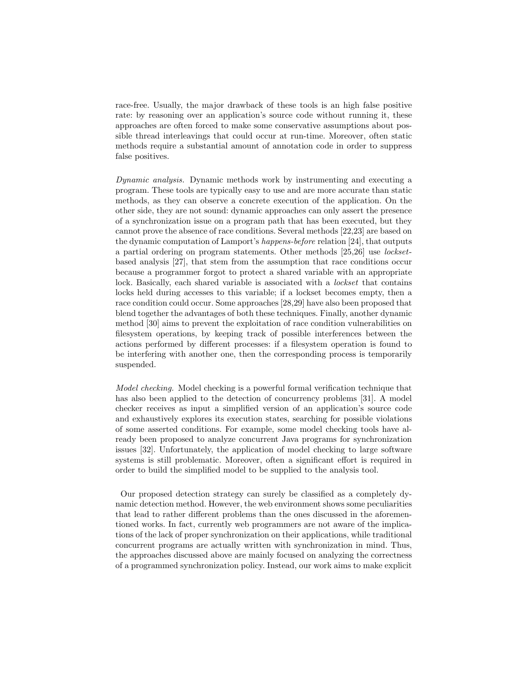race-free. Usually, the major drawback of these tools is an high false positive rate: by reasoning over an application's source code without running it, these approaches are often forced to make some conservative assumptions about possible thread interleavings that could occur at run-time. Moreover, often static methods require a substantial amount of annotation code in order to suppress false positives.

Dynamic analysis. Dynamic methods work by instrumenting and executing a program. These tools are typically easy to use and are more accurate than static methods, as they can observe a concrete execution of the application. On the other side, they are not sound: dynamic approaches can only assert the presence of a synchronization issue on a program path that has been executed, but they cannot prove the absence of race conditions. Several methods [22,23] are based on the dynamic computation of Lamport's happens-before relation [24], that outputs a partial ordering on program statements. Other methods [25,26] use locksetbased analysis [27], that stem from the assumption that race conditions occur because a programmer forgot to protect a shared variable with an appropriate lock. Basically, each shared variable is associated with a *lockset* that contains locks held during accesses to this variable; if a lockset becomes empty, then a race condition could occur. Some approaches [28,29] have also been proposed that blend together the advantages of both these techniques. Finally, another dynamic method [30] aims to prevent the exploitation of race condition vulnerabilities on filesystem operations, by keeping track of possible interferences between the actions performed by different processes: if a filesystem operation is found to be interfering with another one, then the corresponding process is temporarily suspended.

Model checking. Model checking is a powerful formal verification technique that has also been applied to the detection of concurrency problems [31]. A model checker receives as input a simplified version of an application's source code and exhaustively explores its execution states, searching for possible violations of some asserted conditions. For example, some model checking tools have already been proposed to analyze concurrent Java programs for synchronization issues [32]. Unfortunately, the application of model checking to large software systems is still problematic. Moreover, often a significant effort is required in order to build the simplified model to be supplied to the analysis tool.

Our proposed detection strategy can surely be classified as a completely dynamic detection method. However, the web environment shows some peculiarities that lead to rather different problems than the ones discussed in the aforementioned works. In fact, currently web programmers are not aware of the implications of the lack of proper synchronization on their applications, while traditional concurrent programs are actually written with synchronization in mind. Thus, the approaches discussed above are mainly focused on analyzing the correctness of a programmed synchronization policy. Instead, our work aims to make explicit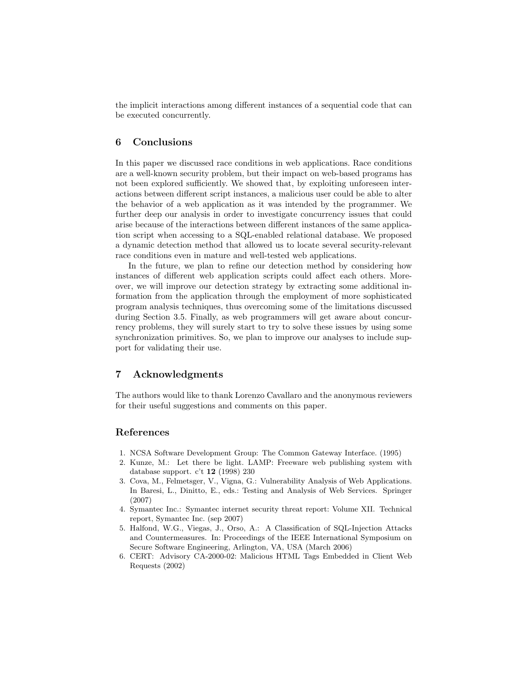the implicit interactions among different instances of a sequential code that can be executed concurrently.

# 6 Conclusions

In this paper we discussed race conditions in web applications. Race conditions are a well-known security problem, but their impact on web-based programs has not been explored sufficiently. We showed that, by exploiting unforeseen interactions between different script instances, a malicious user could be able to alter the behavior of a web application as it was intended by the programmer. We further deep our analysis in order to investigate concurrency issues that could arise because of the interactions between different instances of the same application script when accessing to a SQL-enabled relational database. We proposed a dynamic detection method that allowed us to locate several security-relevant race conditions even in mature and well-tested web applications.

In the future, we plan to refine our detection method by considering how instances of different web application scripts could affect each others. Moreover, we will improve our detection strategy by extracting some additional information from the application through the employment of more sophisticated program analysis techniques, thus overcoming some of the limitations discussed during Section 3.5. Finally, as web programmers will get aware about concurrency problems, they will surely start to try to solve these issues by using some synchronization primitives. So, we plan to improve our analyses to include support for validating their use.

## 7 Acknowledgments

The authors would like to thank Lorenzo Cavallaro and the anonymous reviewers for their useful suggestions and comments on this paper.

# References

- 1. NCSA Software Development Group: The Common Gateway Interface. (1995)
- 2. Kunze, M.: Let there be light. LAMP: Freeware web publishing system with database support. c't 12 (1998) 230
- 3. Cova, M., Felmetsger, V., Vigna, G.: Vulnerability Analysis of Web Applications. In Baresi, L., Dinitto, E., eds.: Testing and Analysis of Web Services. Springer (2007)
- 4. Symantec Inc.: Symantec internet security threat report: Volume XII. Technical report, Symantec Inc. (sep 2007)
- 5. Halfond, W.G., Viegas, J., Orso, A.: A Classification of SQL-Injection Attacks and Countermeasures. In: Proceedings of the IEEE International Symposium on Secure Software Engineering, Arlington, VA, USA (March 2006)
- 6. CERT: Advisory CA-2000-02: Malicious HTML Tags Embedded in Client Web Requests (2002)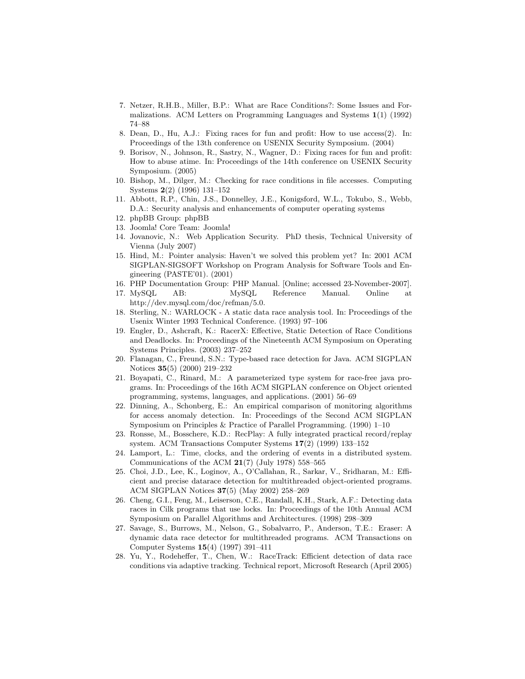- 7. Netzer, R.H.B., Miller, B.P.: What are Race Conditions?: Some Issues and Formalizations. ACM Letters on Programming Languages and Systems 1(1) (1992) 74–88
- 8. Dean, D., Hu, A.J.: Fixing races for fun and profit: How to use access(2). In: Proceedings of the 13th conference on USENIX Security Symposium. (2004)
- 9. Borisov, N., Johnson, R., Sastry, N., Wagner, D.: Fixing races for fun and profit: How to abuse atime. In: Proceedings of the 14th conference on USENIX Security Symposium. (2005)
- 10. Bishop, M., Dilger, M.: Checking for race conditions in file accesses. Computing Systems 2(2) (1996) 131–152
- 11. Abbott, R.P., Chin, J.S., Donnelley, J.E., Konigsford, W.L., Tokubo, S., Webb, D.A.: Security analysis and enhancements of computer operating systems
- 12. phpBB Group: phpBB
- 13. Joomla! Core Team: Joomla!
- 14. Jovanovic, N.: Web Application Security. PhD thesis, Technical University of Vienna (July 2007)
- 15. Hind, M.: Pointer analysis: Haven't we solved this problem yet? In: 2001 ACM SIGPLAN-SIGSOFT Workshop on Program Analysis for Software Tools and Engineering (PASTE'01). (2001)
- 16. PHP Documentation Group: PHP Manual. [Online; accessed 23-November-2007].
- 17. MySQL AB: MySQL Reference Manual. Online at http://dev.mysql.com/doc/refman/5.0.
- 18. Sterling, N.: WARLOCK A static data race analysis tool. In: Proceedings of the Usenix Winter 1993 Technical Conference. (1993) 97–106
- 19. Engler, D., Ashcraft, K.: RacerX: Effective, Static Detection of Race Conditions and Deadlocks. In: Proceedings of the Nineteenth ACM Symposium on Operating Systems Principles. (2003) 237–252
- 20. Flanagan, C., Freund, S.N.: Type-based race detection for Java. ACM SIGPLAN Notices 35(5) (2000) 219–232
- 21. Boyapati, C., Rinard, M.: A parameterized type system for race-free java programs. In: Proceedings of the 16th ACM SIGPLAN conference on Object oriented programming, systems, languages, and applications. (2001) 56–69
- 22. Dinning, A., Schonberg, E.: An empirical comparison of monitoring algorithms for access anomaly detection. In: Proceedings of the Second ACM SIGPLAN Symposium on Principles & Practice of Parallel Programming. (1990) 1–10
- 23. Ronsse, M., Bosschere, K.D.: RecPlay: A fully integrated practical record/replay system. ACM Transactions Computer Systems 17(2) (1999) 133–152
- 24. Lamport, L.: Time, clocks, and the ordering of events in a distributed system. Communications of the ACM  $21(7)$  (July 1978) 558–565
- 25. Choi, J.D., Lee, K., Loginov, A., O'Callahan, R., Sarkar, V., Sridharan, M.: Efficient and precise datarace detection for multithreaded object-oriented programs. ACM SIGPLAN Notices 37(5) (May 2002) 258–269
- 26. Cheng, G.I., Feng, M., Leiserson, C.E., Randall, K.H., Stark, A.F.: Detecting data races in Cilk programs that use locks. In: Proceedings of the 10th Annual ACM Symposium on Parallel Algorithms and Architectures. (1998) 298–309
- 27. Savage, S., Burrows, M., Nelson, G., Sobalvarro, P., Anderson, T.E.: Eraser: A dynamic data race detector for multithreaded programs. ACM Transactions on Computer Systems 15(4) (1997) 391–411
- 28. Yu, Y., Rodeheffer, T., Chen, W.: RaceTrack: Efficient detection of data race conditions via adaptive tracking. Technical report, Microsoft Research (April 2005)